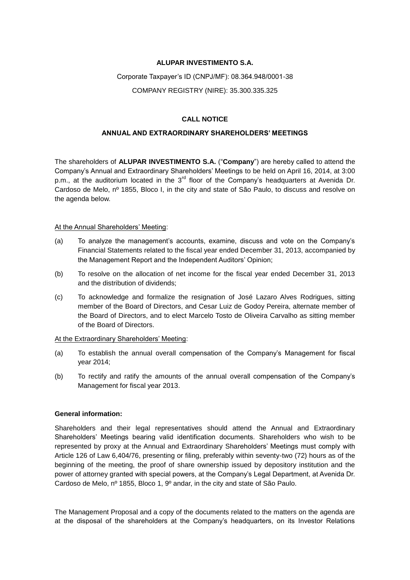#### **ALUPAR INVESTIMENTO S.A.**

#### Corporate Taxpayer's ID (CNPJ/MF): 08.364.948/0001-38

COMPANY REGISTRY (NIRE): 35.300.335.325

## **CALL NOTICE**

### **ANNUAL AND EXTRAORDINARY SHAREHOLDERS' MEETINGS**

The shareholders of **ALUPAR INVESTIMENTO S.A.** ("**Company**") are hereby called to attend the Company's Annual and Extraordinary Shareholders' Meetings to be held on April 16, 2014, at 3:00 p.m., at the auditorium located in the  $3<sup>rd</sup>$  floor of the Company's headquarters at Avenida Dr. Cardoso de Melo, nº 1855, Bloco I, in the city and state of São Paulo, to discuss and resolve on the agenda below.

#### At the Annual Shareholders' Meeting:

- (a) To analyze the management's accounts, examine, discuss and vote on the Company's Financial Statements related to the fiscal year ended December 31, 2013, accompanied by the Management Report and the Independent Auditors' Opinion;
- (b) To resolve on the allocation of net income for the fiscal year ended December 31, 2013 and the distribution of dividends;
- (c) To acknowledge and formalize the resignation of José Lazaro Alves Rodrigues, sitting member of the Board of Directors, and Cesar Luiz de Godoy Pereira, alternate member of the Board of Directors, and to elect Marcelo Tosto de Oliveira Carvalho as sitting member of the Board of Directors.

#### At the Extraordinary Shareholders' Meeting:

- (a) To establish the annual overall compensation of the Company's Management for fiscal year 2014;
- (b) To rectify and ratify the amounts of the annual overall compensation of the Company's Management for fiscal year 2013.

#### **General information:**

Shareholders and their legal representatives should attend the Annual and Extraordinary Shareholders' Meetings bearing valid identification documents. Shareholders who wish to be represented by proxy at the Annual and Extraordinary Shareholders' Meetings must comply with Article 126 of Law 6,404/76, presenting or filing, preferably within seventy-two (72) hours as of the beginning of the meeting, the proof of share ownership issued by depository institution and the power of attorney granted with special powers, at the Company's Legal Department, at Avenida Dr. Cardoso de Melo, nº 1855, Bloco 1, 9º andar, in the city and state of São Paulo.

The Management Proposal and a copy of the documents related to the matters on the agenda are at the disposal of the shareholders at the Company's headquarters, on its Investor Relations